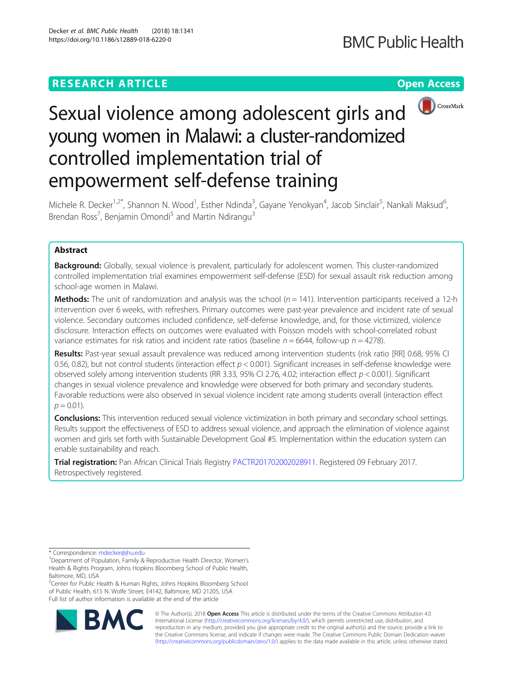## **RESEARCH ARTICLE Example 2014 12:30 The Contract of Contract ACCESS**



# Sexual violence among adolescent girls and young women in Malawi: a cluster-randomized controlled implementation trial of empowerment self-defense training

Michele R. Decker<sup>1,2\*</sup>, Shannon N. Wood<sup>1</sup>, Esther Ndinda<sup>3</sup>, Gayane Yenokyan<sup>4</sup>, Jacob Sinclair<sup>5</sup>, Nankali Maksud<sup>6</sup> , Brendan Ross<sup>7</sup>, Benjamin Omondi<sup>5</sup> and Martin Ndirangu<sup>3</sup>

### Abstract

**Background:** Globally, sexual violence is prevalent, particularly for adolescent women. This cluster-randomized controlled implementation trial examines empowerment self-defense (ESD) for sexual assault risk reduction among school-age women in Malawi.

**Methods:** The unit of randomization and analysis was the school  $(n = 141)$ . Intervention participants received a 12-h intervention over 6 weeks, with refreshers. Primary outcomes were past-year prevalence and incident rate of sexual violence. Secondary outcomes included confidence, self-defense knowledge, and, for those victimized, violence disclosure. Interaction effects on outcomes were evaluated with Poisson models with school-correlated robust variance estimates for risk ratios and incident rate ratios (baseline  $n = 6644$ , follow-up  $n = 4278$ ).

Results: Past-year sexual assault prevalence was reduced among intervention students (risk ratio [RR] 0.68, 95% CI 0.56, 0.82), but not control students (interaction effect  $p < 0.001$ ). Significant increases in self-defense knowledge were observed solely among intervention students (RR 3.33, 95% CI 2.76, 4.02; interaction effect  $p < 0.001$ ). Significant changes in sexual violence prevalence and knowledge were observed for both primary and secondary students. Favorable reductions were also observed in sexual violence incident rate among students overall (interaction effect  $p = 0.01$ ).

Conclusions: This intervention reduced sexual violence victimization in both primary and secondary school settings. Results support the effectiveness of ESD to address sexual violence, and approach the elimination of violence against women and girls set forth with Sustainable Development Goal #5. Implementation within the education system can enable sustainability and reach.

Trial registration: Pan African Clinical Trials Registry [PACTR201702002028911.](https://pactr.samrc.ac.za/TrialDisplay.aspx?TrialID=2028) Registered 09 February 2017. Retrospectively registered.

\* Correspondence: [mdecker@jhu.edu](mailto:mdecker@jhu.edu) <sup>1</sup>

<sup>2</sup>Center for Public Health & Human Rights, Johns Hopkins Bloomberg School of Public Health, 615 N. Wolfe Street, E4142, Baltimore, MD 21205, USA Full list of author information is available at the end of the article



© The Author(s). 2018 Open Access This article is distributed under the terms of the Creative Commons Attribution 4.0 International License [\(http://creativecommons.org/licenses/by/4.0/](http://creativecommons.org/licenses/by/4.0/)), which permits unrestricted use, distribution, and reproduction in any medium, provided you give appropriate credit to the original author(s) and the source, provide a link to the Creative Commons license, and indicate if changes were made. The Creative Commons Public Domain Dedication waiver [\(http://creativecommons.org/publicdomain/zero/1.0/](http://creativecommons.org/publicdomain/zero/1.0/)) applies to the data made available in this article, unless otherwise stated.

<sup>&</sup>lt;sup>1</sup>Department of Population, Family & Reproductive Health Director, Women's Health & Rights Program, Johns Hopkins Bloomberg School of Public Health, Baltimore, MD, USA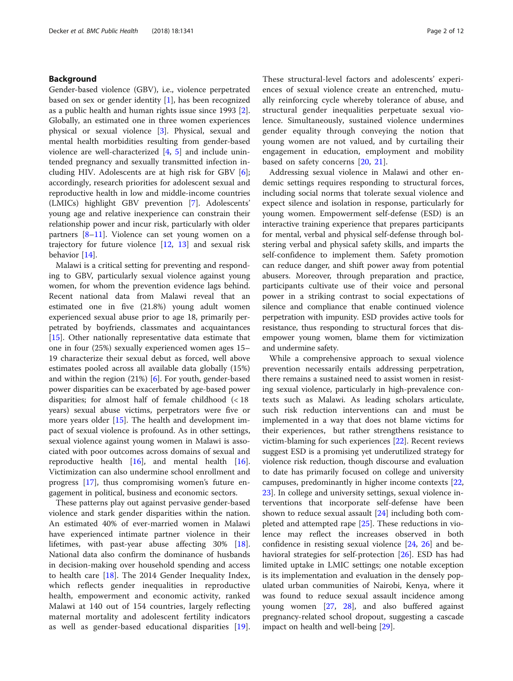#### Background

Gender-based violence (GBV), i.e., violence perpetrated based on sex or gender identity [\[1](#page-10-0)], has been recognized as a public health and human rights issue since 1993 [\[2](#page-10-0)]. Globally, an estimated one in three women experiences physical or sexual violence [[3\]](#page-10-0). Physical, sexual and mental health morbidities resulting from gender-based violence are well-characterized [\[4,](#page-10-0) [5](#page-10-0)] and include unintended pregnancy and sexually transmitted infection including HIV. Adolescents are at high risk for GBV [\[6](#page-10-0)]; accordingly, research priorities for adolescent sexual and reproductive health in low and middle-income countries (LMICs) highlight GBV prevention [\[7](#page-10-0)]. Adolescents' young age and relative inexperience can constrain their relationship power and incur risk, particularly with older partners [[8](#page-10-0)–[11](#page-10-0)]. Violence can set young women on a trajectory for future violence [[12](#page-11-0), [13\]](#page-11-0) and sexual risk behavior [[14\]](#page-11-0).

Malawi is a critical setting for preventing and responding to GBV, particularly sexual violence against young women, for whom the prevention evidence lags behind. Recent national data from Malawi reveal that an estimated one in five (21.8%) young adult women experienced sexual abuse prior to age 18, primarily perpetrated by boyfriends, classmates and acquaintances [[15\]](#page-11-0). Other nationally representative data estimate that one in four (25%) sexually experienced women ages 15– 19 characterize their sexual debut as forced, well above estimates pooled across all available data globally (15%) and within the region (21%) [[6\]](#page-10-0). For youth, gender-based power disparities can be exacerbated by age-based power disparities; for almost half of female childhood (< 18 years) sexual abuse victims, perpetrators were five or more years older [[15\]](#page-11-0). The health and development impact of sexual violence is profound. As in other settings, sexual violence against young women in Malawi is associated with poor outcomes across domains of sexual and reproductive health  $[16]$ , and mental health  $[16]$  $[16]$ . Victimization can also undermine school enrollment and progress [\[17](#page-11-0)], thus compromising women's future engagement in political, business and economic sectors.

These patterns play out against pervasive gender-based violence and stark gender disparities within the nation. An estimated 40% of ever-married women in Malawi have experienced intimate partner violence in their lifetimes, with past-year abuse affecting 30% [\[18](#page-11-0)]. National data also confirm the dominance of husbands in decision-making over household spending and access to health care [[18](#page-11-0)]. The 2014 Gender Inequality Index, which reflects gender inequalities in reproductive health, empowerment and economic activity, ranked Malawi at 140 out of 154 countries, largely reflecting maternal mortality and adolescent fertility indicators as well as gender-based educational disparities [\[19](#page-11-0)].

These structural-level factors and adolescents' experiences of sexual violence create an entrenched, mutually reinforcing cycle whereby tolerance of abuse, and structural gender inequalities perpetuate sexual violence. Simultaneously, sustained violence undermines gender equality through conveying the notion that young women are not valued, and by curtailing their engagement in education, employment and mobility based on safety concerns [[20,](#page-11-0) [21\]](#page-11-0).

Addressing sexual violence in Malawi and other endemic settings requires responding to structural forces, including social norms that tolerate sexual violence and expect silence and isolation in response, particularly for young women. Empowerment self-defense (ESD) is an interactive training experience that prepares participants for mental, verbal and physical self-defense through bolstering verbal and physical safety skills, and imparts the self-confidence to implement them. Safety promotion can reduce danger, and shift power away from potential abusers. Moreover, through preparation and practice, participants cultivate use of their voice and personal power in a striking contrast to social expectations of silence and compliance that enable continued violence perpetration with impunity. ESD provides active tools for resistance, thus responding to structural forces that disempower young women, blame them for victimization and undermine safety.

While a comprehensive approach to sexual violence prevention necessarily entails addressing perpetration, there remains a sustained need to assist women in resisting sexual violence, particularly in high-prevalence contexts such as Malawi. As leading scholars articulate, such risk reduction interventions can and must be implemented in a way that does not blame victims for their experiences, but rather strengthens resistance to victim-blaming for such experiences [\[22](#page-11-0)]. Recent reviews suggest ESD is a promising yet underutilized strategy for violence risk reduction, though discourse and evaluation to date has primarily focused on college and university campuses, predominantly in higher income contexts [[22](#page-11-0), [23\]](#page-11-0). In college and university settings, sexual violence interventions that incorporate self-defense have been shown to reduce sexual assault [\[24](#page-11-0)] including both completed and attempted rape  $[25]$  $[25]$  $[25]$ . These reductions in violence may reflect the increases observed in both confidence in resisting sexual violence [\[24](#page-11-0), [26](#page-11-0)] and behavioral strategies for self-protection [\[26](#page-11-0)]. ESD has had limited uptake in LMIC settings; one notable exception is its implementation and evaluation in the densely populated urban communities of Nairobi, Kenya, where it was found to reduce sexual assault incidence among young women [[27](#page-11-0), [28](#page-11-0)], and also buffered against pregnancy-related school dropout, suggesting a cascade impact on health and well-being [\[29](#page-11-0)].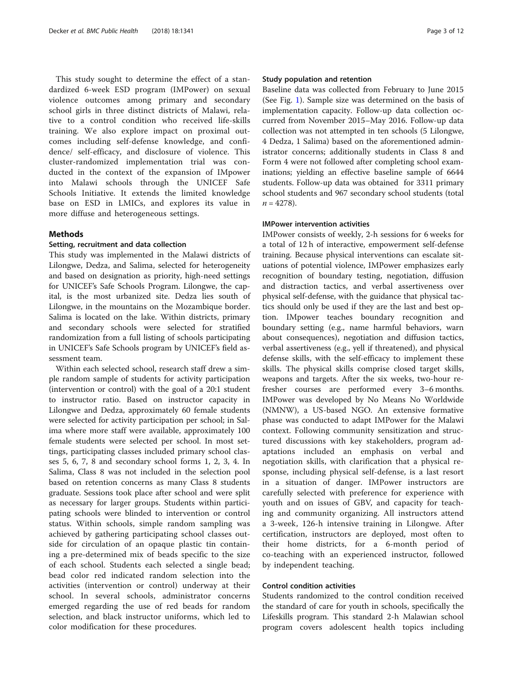This study sought to determine the effect of a standardized 6-week ESD program (IMPower) on sexual violence outcomes among primary and secondary school girls in three distinct districts of Malawi, relative to a control condition who received life-skills training. We also explore impact on proximal outcomes including self-defense knowledge, and confidence/ self-efficacy, and disclosure of violence. This cluster-randomized implementation trial was conducted in the context of the expansion of IMpower into Malawi schools through the UNICEF Safe Schools Initiative. It extends the limited knowledge base on ESD in LMICs, and explores its value in more diffuse and heterogeneous settings.

#### Methods

#### Setting, recruitment and data collection

This study was implemented in the Malawi districts of Lilongwe, Dedza, and Salima, selected for heterogeneity and based on designation as priority, high-need settings for UNICEF's Safe Schools Program. Lilongwe, the capital, is the most urbanized site. Dedza lies south of Lilongwe, in the mountains on the Mozambique border. Salima is located on the lake. Within districts, primary and secondary schools were selected for stratified randomization from a full listing of schools participating in UNICEF's Safe Schools program by UNICEF's field assessment team.

Within each selected school, research staff drew a simple random sample of students for activity participation (intervention or control) with the goal of a 20:1 student to instructor ratio. Based on instructor capacity in Lilongwe and Dedza, approximately 60 female students were selected for activity participation per school; in Salima where more staff were available, approximately 100 female students were selected per school. In most settings, participating classes included primary school classes 5, 6, 7, 8 and secondary school forms 1, 2, 3, 4. In Salima, Class 8 was not included in the selection pool based on retention concerns as many Class 8 students graduate. Sessions took place after school and were split as necessary for larger groups. Students within participating schools were blinded to intervention or control status. Within schools, simple random sampling was achieved by gathering participating school classes outside for circulation of an opaque plastic tin containing a pre-determined mix of beads specific to the size of each school. Students each selected a single bead; bead color red indicated random selection into the activities (intervention or control) underway at their school. In several schools, administrator concerns emerged regarding the use of red beads for random selection, and black instructor uniforms, which led to color modification for these procedures.

#### Study population and retention

Baseline data was collected from February to June 2015 (See Fig. [1](#page-3-0)). Sample size was determined on the basis of implementation capacity. Follow-up data collection occurred from November 2015–May 2016. Follow-up data collection was not attempted in ten schools (5 Lilongwe, 4 Dedza, 1 Salima) based on the aforementioned administrator concerns; additionally students in Class 8 and Form 4 were not followed after completing school examinations; yielding an effective baseline sample of 6644 students. Follow-up data was obtained for 3311 primary school students and 967 secondary school students (total  $n = 4278$ ).

#### IMPower intervention activities

IMPower consists of weekly, 2-h sessions for 6 weeks for a total of 12 h of interactive, empowerment self-defense training. Because physical interventions can escalate situations of potential violence, IMPower emphasizes early recognition of boundary testing, negotiation, diffusion and distraction tactics, and verbal assertiveness over physical self-defense, with the guidance that physical tactics should only be used if they are the last and best option. IMpower teaches boundary recognition and boundary setting (e.g., name harmful behaviors, warn about consequences), negotiation and diffusion tactics, verbal assertiveness (e.g., yell if threatened), and physical defense skills, with the self-efficacy to implement these skills. The physical skills comprise closed target skills, weapons and targets. After the six weeks, two-hour refresher courses are performed every 3–6 months. IMPower was developed by No Means No Worldwide (NMNW), a US-based NGO. An extensive formative phase was conducted to adapt IMPower for the Malawi context. Following community sensitization and structured discussions with key stakeholders, program adaptations included an emphasis on verbal and negotiation skills, with clarification that a physical response, including physical self-defense, is a last resort in a situation of danger. IMPower instructors are carefully selected with preference for experience with youth and on issues of GBV, and capacity for teaching and community organizing. All instructors attend a 3-week, 126-h intensive training in Lilongwe. After certification, instructors are deployed, most often to their home districts, for a 6-month period of co-teaching with an experienced instructor, followed by independent teaching.

#### Control condition activities

Students randomized to the control condition received the standard of care for youth in schools, specifically the Lifeskills program. This standard 2-h Malawian school program covers adolescent health topics including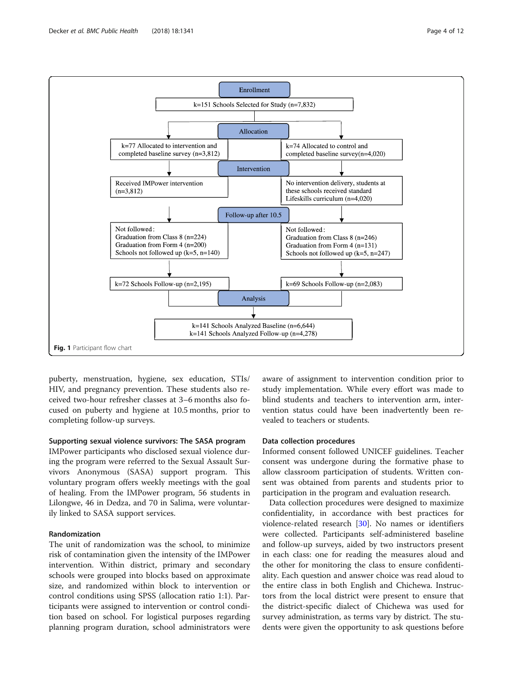<span id="page-3-0"></span>

puberty, menstruation, hygiene, sex education, STIs/ HIV, and pregnancy prevention. These students also received two-hour refresher classes at 3–6 months also focused on puberty and hygiene at 10.5 months, prior to completing follow-up surveys.

#### Supporting sexual violence survivors: The SASA program

IMPower participants who disclosed sexual violence during the program were referred to the Sexual Assault Survivors Anonymous (SASA) support program. This voluntary program offers weekly meetings with the goal of healing. From the IMPower program, 56 students in Lilongwe, 46 in Dedza, and 70 in Salima, were voluntarily linked to SASA support services.

#### Randomization

The unit of randomization was the school, to minimize risk of contamination given the intensity of the IMPower intervention. Within district, primary and secondary schools were grouped into blocks based on approximate size, and randomized within block to intervention or control conditions using SPSS (allocation ratio 1:1). Participants were assigned to intervention or control condition based on school. For logistical purposes regarding planning program duration, school administrators were aware of assignment to intervention condition prior to study implementation. While every effort was made to blind students and teachers to intervention arm, intervention status could have been inadvertently been revealed to teachers or students.

#### Data collection procedures

Informed consent followed UNICEF guidelines. Teacher consent was undergone during the formative phase to allow classroom participation of students. Written consent was obtained from parents and students prior to participation in the program and evaluation research.

Data collection procedures were designed to maximize confidentiality, in accordance with best practices for violence-related research [\[30](#page-11-0)]. No names or identifiers were collected. Participants self-administered baseline and follow-up surveys, aided by two instructors present in each class: one for reading the measures aloud and the other for monitoring the class to ensure confidentiality. Each question and answer choice was read aloud to the entire class in both English and Chichewa. Instructors from the local district were present to ensure that the district-specific dialect of Chichewa was used for survey administration, as terms vary by district. The students were given the opportunity to ask questions before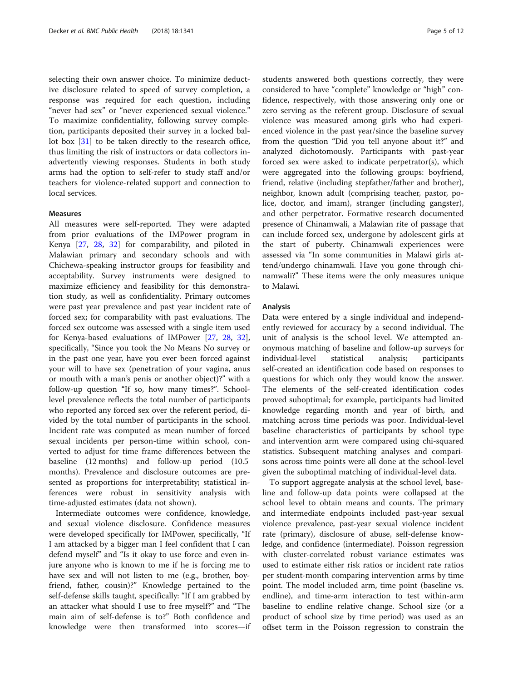selecting their own answer choice. To minimize deductive disclosure related to speed of survey completion, a response was required for each question, including "never had sex" or "never experienced sexual violence." To maximize confidentiality, following survey completion, participants deposited their survey in a locked ballot box [[31\]](#page-11-0) to be taken directly to the research office, thus limiting the risk of instructors or data collectors inadvertently viewing responses. Students in both study arms had the option to self-refer to study staff and/or teachers for violence-related support and connection to local services.

#### Measures

All measures were self-reported. They were adapted from prior evaluations of the IMPower program in Kenya [[27,](#page-11-0) [28,](#page-11-0) [32\]](#page-11-0) for comparability, and piloted in Malawian primary and secondary schools and with Chichewa-speaking instructor groups for feasibility and acceptability. Survey instruments were designed to maximize efficiency and feasibility for this demonstration study, as well as confidentiality. Primary outcomes were past year prevalence and past year incident rate of forced sex; for comparability with past evaluations. The forced sex outcome was assessed with a single item used for Kenya-based evaluations of IMPower [\[27,](#page-11-0) [28](#page-11-0), [32](#page-11-0)], specifically, "Since you took the No Means No survey or in the past one year, have you ever been forced against your will to have sex (penetration of your vagina, anus or mouth with a man's penis or another object)?" with a follow-up question "If so, how many times?". Schoollevel prevalence reflects the total number of participants who reported any forced sex over the referent period, divided by the total number of participants in the school. Incident rate was computed as mean number of forced sexual incidents per person-time within school, converted to adjust for time frame differences between the baseline (12 months) and follow-up period (10.5 months). Prevalence and disclosure outcomes are presented as proportions for interpretability; statistical inferences were robust in sensitivity analysis with time-adjusted estimates (data not shown).

Intermediate outcomes were confidence, knowledge, and sexual violence disclosure. Confidence measures were developed specifically for IMPower, specifically, "If I am attacked by a bigger man I feel confident that I can defend myself" and "Is it okay to use force and even injure anyone who is known to me if he is forcing me to have sex and will not listen to me (e.g., brother, boyfriend, father, cousin)?" Knowledge pertained to the self-defense skills taught, specifically: "If I am grabbed by an attacker what should I use to free myself?" and "The main aim of self-defense is to?" Both confidence and knowledge were then transformed into scores—if students answered both questions correctly, they were considered to have "complete" knowledge or "high" confidence, respectively, with those answering only one or zero serving as the referent group. Disclosure of sexual violence was measured among girls who had experienced violence in the past year/since the baseline survey from the question "Did you tell anyone about it?" and analyzed dichotomously. Participants with past-year forced sex were asked to indicate perpetrator(s), which were aggregated into the following groups: boyfriend, friend, relative (including stepfather/father and brother), neighbor, known adult (comprising teacher, pastor, police, doctor, and imam), stranger (including gangster), and other perpetrator. Formative research documented presence of Chinamwali, a Malawian rite of passage that can include forced sex, undergone by adolescent girls at the start of puberty. Chinamwali experiences were assessed via "In some communities in Malawi girls attend/undergo chinamwali. Have you gone through chinamwali?" These items were the only measures unique to Malawi.

#### Analysis

Data were entered by a single individual and independently reviewed for accuracy by a second individual. The unit of analysis is the school level. We attempted anonymous matching of baseline and follow-up surveys for individual-level statistical analysis; participants self-created an identification code based on responses to questions for which only they would know the answer. The elements of the self-created identification codes proved suboptimal; for example, participants had limited knowledge regarding month and year of birth, and matching across time periods was poor. Individual-level baseline characteristics of participants by school type and intervention arm were compared using chi-squared statistics. Subsequent matching analyses and comparisons across time points were all done at the school-level given the suboptimal matching of individual-level data.

To support aggregate analysis at the school level, baseline and follow-up data points were collapsed at the school level to obtain means and counts. The primary and intermediate endpoints included past-year sexual violence prevalence, past-year sexual violence incident rate (primary), disclosure of abuse, self-defense knowledge, and confidence (intermediate). Poisson regression with cluster-correlated robust variance estimates was used to estimate either risk ratios or incident rate ratios per student-month comparing intervention arms by time point. The model included arm, time point (baseline vs. endline), and time-arm interaction to test within-arm baseline to endline relative change. School size (or a product of school size by time period) was used as an offset term in the Poisson regression to constrain the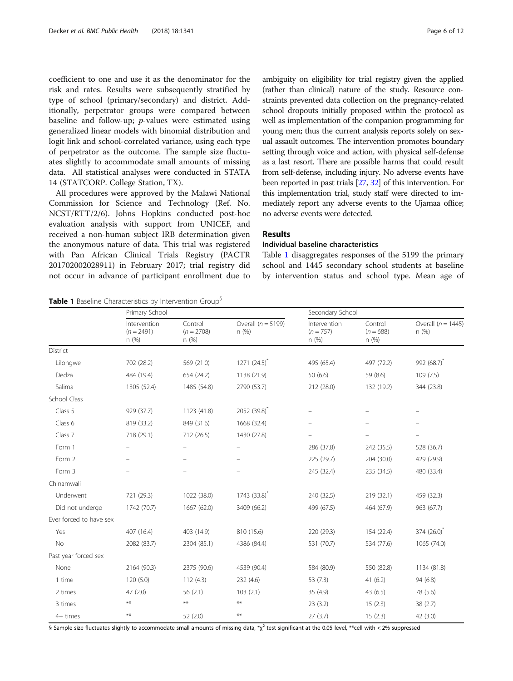coefficient to one and use it as the denominator for the risk and rates. Results were subsequently stratified by type of school (primary/secondary) and district. Additionally, perpetrator groups were compared between baseline and follow-up; p-values were estimated using generalized linear models with binomial distribution and logit link and school-correlated variance, using each type of perpetrator as the outcome. The sample size fluctuates slightly to accommodate small amounts of missing data. All statistical analyses were conducted in STATA 14 (STATCORP. College Station, TX).

All procedures were approved by the Malawi National Commission for Science and Technology (Ref. No. NCST/RTT/2/6). Johns Hopkins conducted post-hoc evaluation analysis with support from UNICEF, and received a non-human subject IRB determination given the anonymous nature of data. This trial was registered with Pan African Clinical Trials Registry (PACTR 201702002028911) in February 2017; trial registry did not occur in advance of participant enrollment due to ambiguity on eligibility for trial registry given the applied (rather than clinical) nature of the study. Resource constraints prevented data collection on the pregnancy-related school dropouts initially proposed within the protocol as well as implementation of the companion programming for young men; thus the current analysis reports solely on sexual assault outcomes. The intervention promotes boundary setting through voice and action, with physical self-defense as a last resort. There are possible harms that could result from self-defense, including injury. No adverse events have been reported in past trials [\[27](#page-11-0), [32\]](#page-11-0) of this intervention. For this implementation trial, study staff were directed to immediately report any adverse events to the Ujamaa office; no adverse events were detected.

#### Results

#### Individual baseline characteristics

Table 1 disaggregates responses of the 5199 the primary school and 1445 secondary school students at baseline by intervention status and school type. Mean age of

|                         | Primary School                       |                                 |                              | Secondary School                    |                                |                              |
|-------------------------|--------------------------------------|---------------------------------|------------------------------|-------------------------------------|--------------------------------|------------------------------|
|                         | Intervention<br>$(n = 2491)$<br>n(%) | Control<br>$(n = 2708)$<br>n(%) | Overall $(n = 5199)$<br>n(%) | Intervention<br>$(n = 757)$<br>n(%) | Control<br>$(n = 688)$<br>n(%) | Overall $(n = 1445)$<br>n(%) |
| District                |                                      |                                 |                              |                                     |                                |                              |
| Lilongwe                | 702 (28.2)                           | 569 (21.0)                      | $1271(24.5)^{*}$             | 495 (65.4)                          | 497 (72.2)                     | 992 $(68.7)^{*}$             |
| Dedza                   | 484 (19.4)                           | 654 (24.2)                      | 1138 (21.9)                  | 50(6.6)                             | 59 (8.6)                       | 109(7.5)                     |
| Salima                  | 1305 (52.4)                          | 1485 (54.8)                     | 2790 (53.7)                  | 212 (28.0)                          | 132 (19.2)                     | 344 (23.8)                   |
| School Class            |                                      |                                 |                              |                                     |                                |                              |
| Class 5                 | 929 (37.7)                           | 1123 (41.8)                     | 2052 (39.8)*                 |                                     |                                |                              |
| Class 6                 | 819 (33.2)                           | 849 (31.6)                      | 1668 (32.4)                  |                                     |                                |                              |
| Class 7                 | 718 (29.1)                           | 712 (26.5)                      | 1430 (27.8)                  |                                     |                                |                              |
| Form 1                  |                                      |                                 | $\overline{\phantom{0}}$     | 286 (37.8)                          | 242 (35.5)                     | 528 (36.7)                   |
| Form 2                  |                                      |                                 |                              | 225 (29.7)                          | 204 (30.0)                     | 429 (29.9)                   |
| Form 3                  |                                      |                                 |                              | 245 (32.4)                          | 235 (34.5)                     | 480 (33.4)                   |
| Chinamwali              |                                      |                                 |                              |                                     |                                |                              |
| Underwent               | 721 (29.3)                           | 1022 (38.0)                     | 1743 (33.8) <sup>*</sup>     | 240 (32.5)                          | 219(32.1)                      | 459 (32.3)                   |
| Did not undergo         | 1742 (70.7)                          | 1667 (62.0)                     | 3409 (66.2)                  | 499 (67.5)                          | 464 (67.9)                     | 963 (67.7)                   |
| Ever forced to have sex |                                      |                                 |                              |                                     |                                |                              |
| Yes                     | 407 (16.4)                           | 403 (14.9)                      | 810 (15.6)                   | 220 (29.3)                          | 154 (22.4)                     | 374 (26.0) <sup>*</sup>      |
| No                      | 2082 (83.7)                          | 2304 (85.1)                     | 4386 (84.4)                  | 531 (70.7)                          | 534 (77.6)                     | 1065 (74.0)                  |
| Past year forced sex    |                                      |                                 |                              |                                     |                                |                              |
| None                    | 2164 (90.3)                          | 2375 (90.6)                     | 4539 (90.4)                  | 584 (80.9)                          | 550 (82.8)                     | 1134 (81.8)                  |
| 1 time                  | 120(5.0)                             | 112(4.3)                        | 232 (4.6)                    | 53 (7.3)                            | 41(6.2)                        | 94 (6.8)                     |
| 2 times                 | 47 (2.0)                             | 56 $(2.1)$                      | 103(2.1)                     | 35 (4.9)                            | 43 (6.5)                       | 78 (5.6)                     |
| 3 times                 | **                                   | $***$                           | $***$                        | 23(3.2)                             | 15(2.3)                        | 38 (2.7)                     |
| 4+ times                | **                                   | 52(2.0)                         | $**$                         | 27(3.7)                             | 15(2.3)                        | 42 (3.0)                     |

Table 1 Baseline Characteristics by Intervention Group<sup>§</sup>

§ Sample size fluctuates slightly to accommodate small amounts of missing data,  $*\chi^2$  test significant at the 0.05 level,  $**$ cell with < 2% suppressed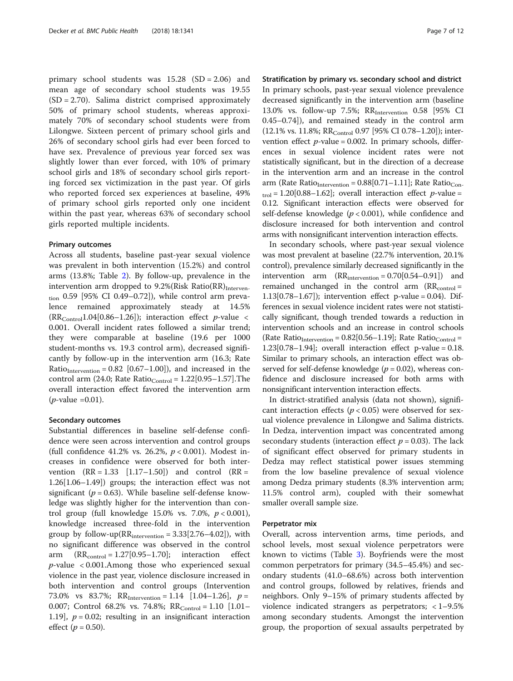primary school students was 15.28 (SD = 2.06) and mean age of secondary school students was 19.55 (SD = 2.70). Salima district comprised approximately 50% of primary school students, whereas approximately 70% of secondary school students were from Lilongwe. Sixteen percent of primary school girls and 26% of secondary school girls had ever been forced to have sex. Prevalence of previous year forced sex was slightly lower than ever forced, with 10% of primary school girls and 18% of secondary school girls reporting forced sex victimization in the past year. Of girls who reported forced sex experiences at baseline, 49% of primary school girls reported only one incident within the past year, whereas 63% of secondary school girls reported multiple incidents.

#### Primary outcomes

Across all students, baseline past-year sexual violence was prevalent in both intervention (15.2%) and control arms (13.8%; Table [2](#page-7-0)). By follow-up, prevalence in the intervention arm dropped to 9.2%(Risk Ratio(RR) $_{\text{Interven-}}$  $_{\text{tion}}$  0.59 [95% CI 0.49–0.72]), while control arm prevalence remained approximately steady at 14.5%  $(RR_{Control}1.04[0.86-1.26])$ ; interaction effect p-value < 0.001. Overall incident rates followed a similar trend; they were comparable at baseline (19.6 per 1000 student-months vs. 19.3 control arm), decreased significantly by follow-up in the intervention arm (16.3; Rate Ratio<sub>Intervention</sub> =  $0.82$  [0.67–1.00]), and increased in the control arm (24.0; Rate Ratio<sub>Control</sub> =  $1.22[0.95-1.57]$ . The overall interaction effect favored the intervention arm  $(p$ -value = 0.01).

#### Secondary outcomes

Substantial differences in baseline self-defense confidence were seen across intervention and control groups (full confidence 41.2% vs. 26.2%,  $p < 0.001$ ). Modest increases in confidence were observed for both intervention  $(RR = 1.33 [1.17 - 1.50])$  and control  $(RR = 1.33 [1.17 - 1.50])$ 1.26[1.06–1.49]) groups; the interaction effect was not significant ( $p = 0.63$ ). While baseline self-defense knowledge was slightly higher for the intervention than control group (full knowledge 15.0% vs. 7.0%,  $p < 0.001$ ), knowledge increased three-fold in the intervention group by follow-up( $RR_{\text{intervention}} = 3.33[2.76-4.02]$ ), with no significant difference was observed in the control arm  $(RR_{control} = 1.27[0.95-1.70]$ ; interaction effect  $p$ -value < 0.001. Among those who experienced sexual violence in the past year, violence disclosure increased in both intervention and control groups (Intervention 73.0% vs 83.7%;  $RR_{\text{Intervention}} = 1.14$  [1.04–1.26],  $p =$ 0.007; Control 68.2% vs. 74.8%;  $RR_{Control} = 1.10$  [1.01– 1.19],  $p = 0.02$ ; resulting in an insignificant interaction effect ( $p = 0.50$ ).

Stratification by primary vs. secondary school and district In primary schools, past-year sexual violence prevalence decreased significantly in the intervention arm (baseline 13.0% vs. follow-up 7.5%; RR<sub>Intervention</sub> 0.58 [95% CI 0.45–0.74]), and remained steady in the control arm  $(12.1\% \text{ vs. } 11.8\%; RR_{\text{Control}} 0.97 [95\% \text{ CI } 0.78-1.20]); \text{ inter-}$ vention effect  $p$ -value = 0.002. In primary schools, differences in sexual violence incident rates were not statistically significant, but in the direction of a decrease in the intervention arm and an increase in the control arm (Rate Ratio<sub>Intervention</sub> =  $0.88[0.71-1.11]$ ; Rate Ratio<sub>Con-</sub>  $_{\text{trol}}$  = 1.20[0.88–1.62]; overall interaction effect p-value = 0.12. Significant interaction effects were observed for self-defense knowledge ( $p < 0.001$ ), while confidence and disclosure increased for both intervention and control arms with nonsignificant intervention interaction effects.

In secondary schools, where past-year sexual violence was most prevalent at baseline (22.7% intervention, 20.1% control), prevalence similarly decreased significantly in the intervention arm  $(RR<sub>intervention</sub> = 0.70[0.54-0.91])$  and remained unchanged in the control arm  $(RR_{\text{control}} =$ 1.13[0.78–1.67]); intervention effect p-value = 0.04). Differences in sexual violence incident rates were not statistically significant, though trended towards a reduction in intervention schools and an increase in control schools (Rate Ratio<sub>Intervention</sub> =  $0.82[0.56-1.19]$ ; Rate Ratio<sub>Control</sub> = 1.23[0.78–1.94]; overall interaction effect p-value = 0.18. Similar to primary schools, an interaction effect was observed for self-defense knowledge  $(p = 0.02)$ , whereas confidence and disclosure increased for both arms with nonsignificant intervention interaction effects.

In district-stratified analysis (data not shown), significant interaction effects ( $p < 0.05$ ) were observed for sexual violence prevalence in Lilongwe and Salima districts. In Dedza, intervention impact was concentrated among secondary students (interaction effect  $p = 0.03$ ). The lack of significant effect observed for primary students in Dedza may reflect statistical power issues stemming from the low baseline prevalence of sexual violence among Dedza primary students (8.3% intervention arm; 11.5% control arm), coupled with their somewhat smaller overall sample size.

#### Perpetrator mix

Overall, across intervention arms, time periods, and school levels, most sexual violence perpetrators were known to victims (Table [3\)](#page-8-0). Boyfriends were the most common perpetrators for primary (34.5–45.4%) and secondary students (41.0–68.6%) across both intervention and control groups, followed by relatives, friends and neighbors. Only 9–15% of primary students affected by violence indicated strangers as perpetrators; < 1–9.5% among secondary students. Amongst the intervention group, the proportion of sexual assaults perpetrated by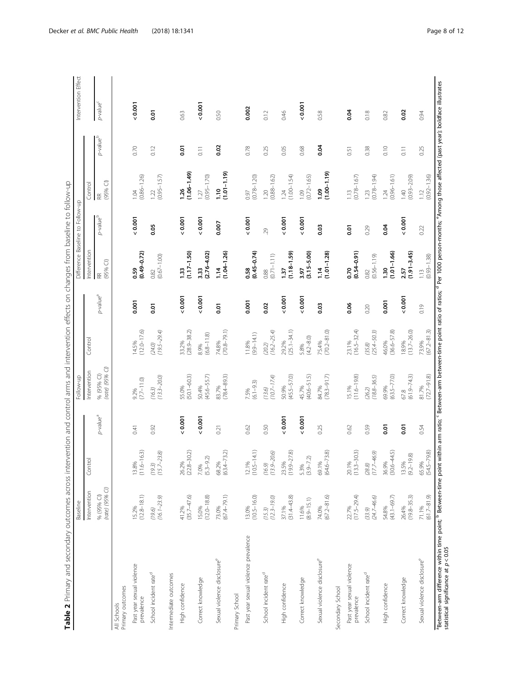<span id="page-7-0"></span>

| Table 2 Primary and secondary outcomes across intervention and control arms and intervention effects on changes from baseline to follow-up                                                                                                                          | Baseline                      |                                |                         | Follow-up                     |                             |                         | Difference Baseline to Follow-up           |                 |                                              |                      | Intervention Effect     |
|---------------------------------------------------------------------------------------------------------------------------------------------------------------------------------------------------------------------------------------------------------------------|-------------------------------|--------------------------------|-------------------------|-------------------------------|-----------------------------|-------------------------|--------------------------------------------|-----------------|----------------------------------------------|----------------------|-------------------------|
|                                                                                                                                                                                                                                                                     | Intervention                  | Control                        |                         | Intervention                  | Control                     |                         | Intervention                               |                 | Control                                      |                      |                         |
|                                                                                                                                                                                                                                                                     | (rate) (95% Cl)<br>% (95% CI) |                                | $p$ -value <sup>a</sup> | % (95% CI)<br>(rate) (95% Cl) |                             | $p$ -value <sup>a</sup> | $(95%$ CI)<br>$\underset{\text{R}}{\cong}$ | $p$ -value $^b$ | $(95%$ Cl)<br>$\underset{\text{R}}{\approx}$ | p-value <sup>b</sup> | $p$ -value <sup>c</sup> |
| Primary outcomes<br>All Schools                                                                                                                                                                                                                                     |                               |                                |                         |                               |                             |                         |                                            |                 |                                              |                      |                         |
| Past year sexual violence<br>prevalence                                                                                                                                                                                                                             | $(12.8 - 18.1)$<br>15.2%      | 6.3)<br>13.8%<br>$(11.6 - 1)$  | 0.41                    | $(7.7 - 11.0)$<br>9.2%        | $(12.0 - 17.6)$<br>14.5%    | 0.001                   | $(0.49 - 0.72)$<br>0.59                    | 0.001           | $(0.86 - 1.26)$<br>1.04                      | 0.70                 | 0.001                   |
| School incident rate <sup>d</sup>                                                                                                                                                                                                                                   | $(16.1 - 23.9)$<br>(19.6)     | $(15.7 - 23.8)$<br>(19.3)      | 0.92                    | $(16.3)$<br>$(13.3 - 20.0)$   | $(19.5 - 29.4)$<br>$(24.0)$ | $\overline{5}$          | $(0.67 - 1.00)$<br>0.82                    | 0.05            | $1.22$<br>(0.95-1.57)                        | 0.12                 | $\overline{0}$          |
| Intermediate outcomes                                                                                                                                                                                                                                               |                               |                                |                         |                               |                             |                         |                                            |                 |                                              |                      |                         |
| High confidence                                                                                                                                                                                                                                                     | $(35.7 - 47.6)$<br>41.2%      | $(22.8 - 30.2)$<br>26.2%       | 0.001                   | $(50.1 - 60.3)$<br>55.0%      | $(28.9 - 38.2)$<br>33.2%    | 0.001                   | $(1.17 - 1.50)$<br>1.33                    | 0.001           | $\frac{1.26}{(1.06-1.49)}$                   | $\overline{5}$       | 0.63                    |
| Correct knowledge                                                                                                                                                                                                                                                   | $(12.0 - 18.8)$<br>15.0%      | $(5.3 - 9.2)$<br>7.0%          | 0.001                   | $(45.6 - 55.7)$<br>50.4%      | $(6.8 - 11.8)$<br>8.9%      | 0.001                   | $3.33$<br>(2.76–4.02)                      | 0.001           | $(0.95 - 1.70)$<br>1.27                      | $\overline{0.11}$    | 0.001                   |
| Sexual violence disclosure <sup>e</sup>                                                                                                                                                                                                                             | $(67.4 - 79.1)$<br>73.0%      | $(63.4 - 73.2)$<br>68.2%       | 0.21                    | $(78.4 - 89.3)$<br>83.7%      | $(70.8 - 79.1)$<br>74.8%    | $\overline{5}$          | $1.14$<br>(1.04-1.26)                      | 0.007           | $(1.10 - 1.19)$                              | 0.02                 | 0.50                    |
| Primary School                                                                                                                                                                                                                                                      |                               |                                |                         |                               |                             |                         |                                            |                 |                                              |                      |                         |
| Past year sexual violence prevalence                                                                                                                                                                                                                                | $(10.5 - 16.0)$<br>13.0%      | (4.1)<br>$(10.5 - 1)$<br>12.1% | 0.62                    | $(6.1 - 9.3)$<br>7.5%         | $(9.9 - 14.1)$<br>11.8%     | 0.001                   | $(0.45 - 0.74)$<br>0.58                    | 0.001           | $(0.78 - 1.20)$<br>0.97                      | 0.78                 | 0.002                   |
| School incident rate <sup>d</sup>                                                                                                                                                                                                                                   | $(12.3 - 19.0)$<br>(15.3)     | $(13.9 - 20.6)$<br>(16.9)      | 0.50                    | $(10.7 - 17.4)$<br>(13.6)     | $(16.2 - 25.4)$<br>$(20.2)$ | 0.02                    | $(0.71 - 1.11)$<br>0.88                    | 29.             | $(0.88 - 1.62)$<br>1.20                      | 0.25                 | 0.12                    |
| High confidence                                                                                                                                                                                                                                                     | $(31.4 - 43.8)$<br>37.1%      | $(19.9 - 27.8)$<br>23.5%       | 0.001                   | $(45.5 - 57.0)$<br>50.9%      | $(25.1 - 34.1)$<br>29.2%    | 0.001                   | $(1.18 - 1.59)$<br>1.37                    | 0.001           | $(1.00 - 1.54)$<br>1.24                      | 0.05                 | 0.46                    |
| Correct knowledge                                                                                                                                                                                                                                                   | $(8.9 - 15.1)$<br>11.6%       | $(3.9 - 7.2)$<br>5.3%          | 0.001                   | $(40.6 - 51.5)$<br>45.7%      | $(4.2 - 8.0)$<br>5.8%       | 0.001                   | $(3.15 - 5.00)$<br>3.97                    | 0.001           | $(0.72 - 1.65)$<br>1.09                      | 0.68                 | 0.001                   |
| Sexual violence disclosure <sup>e</sup>                                                                                                                                                                                                                             | $(67.2 - 81.6)$<br>74.0%      | $(64.6 - 73.8)$<br>69.1%       | 0.25                    | $(78.3 - 91.7)$<br>84.7%      | $(70.2 - 81.0)$<br>75.4%    | 0.03                    | $(1.01 - 1.28)$<br>1.14                    | 0.03            | $(1.00 - 1.19)$<br>0.09                      | 0.04                 | 0.58                    |
| Secondary School                                                                                                                                                                                                                                                    |                               |                                |                         |                               |                             |                         |                                            |                 |                                              |                      |                         |
| Past year sexual violence<br>prevalence                                                                                                                                                                                                                             | $(17.5 - 29.4)$<br>22.7%      | $(13.3 - 30.3)$<br>20.1%       | 0.62                    | $(11.6 - 19.8)$<br>15.1%      | $(16.5 - 32.4)$<br>23.1%    | 80.0                    | $(0.54 - 0.91)$<br>0.70                    | $\overline{0}$  | $1.13$<br>$(0.78 - 1.67)$                    | 0.51                 | 0.04                    |
| School incident rate <sup>d</sup>                                                                                                                                                                                                                                   | $(24.7 - 46.6)$<br>(33.9)     | $(17.7 - 46.9)$<br>(28.8)      | 0.59                    | $(18.8 - 36.5)$<br>(26.2)     | $(25.4 - 50.3)$<br>(35.8)   | 0.20                    | $(0.56 - 1.19)$<br>0.82                    | 0.29            | $(0.78 - 1.94)$<br>1.23                      | 0.38                 | 0.18                    |
| High confidence                                                                                                                                                                                                                                                     | $(43.1 - 69.7)$<br>54.8%      | $(30.6 - 44.5)$<br>36.9%       | $\overline{5}$          | $(63.5 - 77.0)$<br>69.9%      | $(36.6 - 57.8)$<br>46.0%    | 0.001                   | $(1.01 - 1.66)$<br>1.30                    | 0.04            | $(0.96 - 1.61)$<br>1.24                      | 0.10                 | 0.82                    |
| Correct knowledge                                                                                                                                                                                                                                                   | $(19.8 - 35.3)$<br>26.4%      | $(9.2 - 19.8)$<br>13.5%        | $\overline{0}$          | $(61.9 - 74.3)$<br>67.8       | $(13.7 - 26.0)$<br>18.9%    | 0.001                   | $(1.91 - 3.45)$<br>2.57                    | 0.001           | $(0.93 - 2.09)$<br>1.40                      | $\overline{0.11}$    | 0.02                    |
| Sexual violence disclosure <sup>e</sup>                                                                                                                                                                                                                             | $(61.7 - 81.9)$<br>71.1%      | $(54.5 - 79.8)$<br>65.9%       | 0.54                    | $(72.7 - 91.8)$<br>81.7%      | $(67.2 - 81.3)$<br>73.9%    | 0.19                    | $(0.93 - 1.38)$<br>1.13                    | 0.22            | $(0.92 - 1.36)$<br>1.12                      | 0.25                 | 0.94                    |
| ືeetween-am difference within time point <sup>b</sup> Between-time point within arm ratio; <sup>c</sup> Between-time point ratio of ratios; <sup>d</sup> Per 1000 person-months; <sup>e</sup> Among those affected (past year); boldface illustrates<br>statistical |                               |                                |                         |                               |                             |                         |                                            |                 |                                              |                      |                         |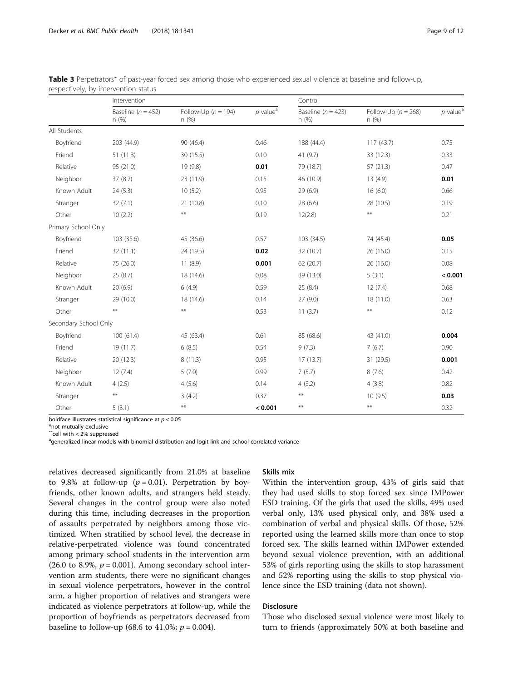|                       | Intervention                   |                                |                         | Control                        |                               |                         |
|-----------------------|--------------------------------|--------------------------------|-------------------------|--------------------------------|-------------------------------|-------------------------|
|                       | Baseline ( $n = 452$ )<br>n(%) | Follow-Up $(n = 194)$<br>n (%) | $p$ -value <sup>a</sup> | Baseline ( $n = 423$ )<br>n(%) | Follow-Up $(n = 268)$<br>n(%) | $p$ -value <sup>a</sup> |
| All Students          |                                |                                |                         |                                |                               |                         |
| Boyfriend             | 203 (44.9)                     | 90 (46.4)                      | 0.46                    | 188 (44.4)                     | 117(43.7)                     | 0.75                    |
| Friend                | 51(11.3)                       | 30 (15.5)                      | 0.10                    | 41 $(9.7)$                     | 33 (12.3)                     | 0.33                    |
| Relative              | 95 (21.0)                      | 19 (9.8)                       | 0.01                    | 79 (18.7)                      | 57 (21.3)                     | 0.47                    |
| Neighbor              | 37 (8.2)                       | 23 (11.9)                      | 0.15                    | 46 (10.9)                      | 13 (4.9)                      | 0.01                    |
| Known Adult           | 24(5.3)                        | 10(5.2)                        | 0.95                    | 29 (6.9)                       | 16(6.0)                       | 0.66                    |
| Stranger              | 32(7.1)                        | 21 (10.8)                      | 0.10                    | 28(6.6)                        | 28 (10.5)                     | 0.19                    |
| Other                 | 10(2.2)                        | $***$                          | 0.19                    | 12(2.8)                        | **                            | 0.21                    |
| Primary School Only   |                                |                                |                         |                                |                               |                         |
| Boyfriend             | 103 (35.6)                     | 45 (36.6)                      | 0.57                    | 103 (34.5)                     | 74 (45.4)                     | 0.05                    |
| Friend                | 32 (11.1)                      | 24 (19.5)                      | 0.02                    | 32 (10.7)                      | 26 (16.0)                     | 0.15                    |
| Relative              | 75 (26.0)                      | 11(8.9)                        | 0.001                   | 62 (20.7)                      | 26 (16.0)                     | 0.08                    |
| Neighbor              | 25(8.7)                        | 18 (14.6)                      | 0.08                    | 39 (13.0)                      | 5(3.1)                        | < 0.001                 |
| Known Adult           | 20(6.9)                        | 6(4.9)                         | 0.59                    | 25(8.4)                        | 12(7.4)                       | 0.68                    |
| Stranger              | 29 (10.0)                      | 18 (14.6)                      | 0.14                    | 27(9.0)                        | 18 (11.0)                     | 0.63                    |
| Other                 | $**$                           | $***$                          | 0.53                    | 11(3.7)                        | **                            | 0.12                    |
| Secondary School Only |                                |                                |                         |                                |                               |                         |
| Boyfriend             | 100(61.4)                      | 45 (63.4)                      | 0.61                    | 85 (68.6)                      | 43 (41.0)                     | 0.004                   |
| Friend                | 19 (11.7)                      | 6(8.5)                         | 0.54                    | 9(7.3)                         | 7(6.7)                        | 0.90                    |
| Relative              | 20 (12.3)                      | 8(11.3)                        | 0.95                    | 17(13.7)                       | 31 (29.5)                     | 0.001                   |
| Neighbor              | 12(7.4)                        | 5(7.0)                         | 0.99                    | 7(5.7)                         | 8(7.6)                        | 0.42                    |
| Known Adult           | 4(2.5)                         | 4(5.6)                         | 0.14                    | 4(3.2)                         | 4(3.8)                        | 0.82                    |
| Stranger              | $**$                           | 3(4.2)                         | 0.37                    | $**$                           | 10(9.5)                       | 0.03                    |
| Other                 | 5(3.1)                         | $***$                          | < 0.001                 | $**$                           | **                            | 0.32                    |

<span id="page-8-0"></span>Table 3 Perpetrators\* of past-year forced sex among those who experienced sexual violence at baseline and follow-up, respectively, by intervention status

boldface illustrates statistical significance at  $p < 0.05$ 

\*not mutually exclusive

 $^{\degree}$ cell with < 2% suppressed

<sup>a</sup>generalized linear models with binomial distribution and logit link and school-correlated variance

relatives decreased significantly from 21.0% at baseline to 9.8% at follow-up ( $p = 0.01$ ). Perpetration by boyfriends, other known adults, and strangers held steady. Several changes in the control group were also noted during this time, including decreases in the proportion of assaults perpetrated by neighbors among those victimized. When stratified by school level, the decrease in relative-perpetrated violence was found concentrated among primary school students in the intervention arm (26.0 to 8.9%,  $p = 0.001$ ). Among secondary school intervention arm students, there were no significant changes in sexual violence perpetrators, however in the control arm, a higher proportion of relatives and strangers were indicated as violence perpetrators at follow-up, while the proportion of boyfriends as perpetrators decreased from baseline to follow-up (68.6 to 41.0%;  $p = 0.004$ ).

#### Skills mix

Within the intervention group, 43% of girls said that they had used skills to stop forced sex since IMPower ESD training. Of the girls that used the skills, 49% used verbal only, 13% used physical only, and 38% used a combination of verbal and physical skills. Of those, 52% reported using the learned skills more than once to stop forced sex. The skills learned within IMPower extended beyond sexual violence prevention, with an additional 53% of girls reporting using the skills to stop harassment and 52% reporting using the skills to stop physical violence since the ESD training (data not shown).

#### Disclosure

Those who disclosed sexual violence were most likely to turn to friends (approximately 50% at both baseline and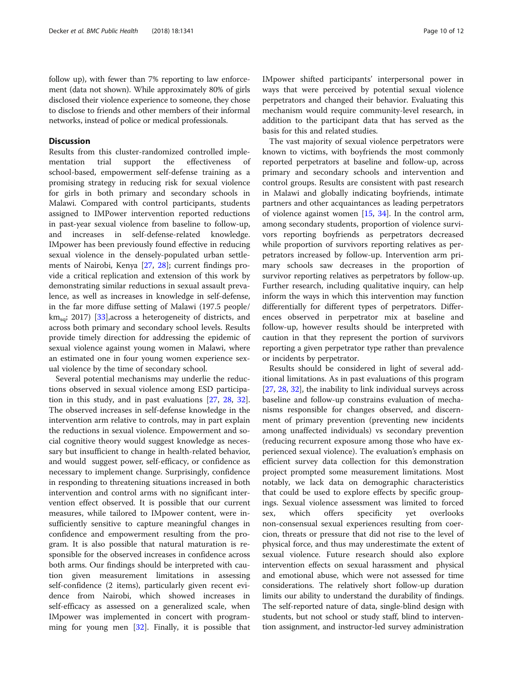follow up), with fewer than 7% reporting to law enforcement (data not shown). While approximately 80% of girls disclosed their violence experience to someone, they chose to disclose to friends and other members of their informal

networks, instead of police or medical professionals.

#### **Discussion**

Results from this cluster-randomized controlled implementation trial support the effectiveness of school-based, empowerment self-defense training as a promising strategy in reducing risk for sexual violence for girls in both primary and secondary schools in Malawi. Compared with control participants, students assigned to IMPower intervention reported reductions in past-year sexual violence from baseline to follow-up, and increases in self-defense-related knowledge. IMpower has been previously found effective in reducing sexual violence in the densely-populated urban settlements of Nairobi, Kenya [\[27,](#page-11-0) [28\]](#page-11-0); current findings provide a critical replication and extension of this work by demonstrating similar reductions in sexual assault prevalence, as well as increases in knowledge in self-defense, in the far more diffuse setting of Malawi (197.5 people/  $km_{\rm so}$ ; 2017) [[33\]](#page-11-0), across a heterogeneity of districts, and across both primary and secondary school levels. Results provide timely direction for addressing the epidemic of sexual violence against young women in Malawi, where an estimated one in four young women experience sexual violence by the time of secondary school.

Several potential mechanisms may underlie the reductions observed in sexual violence among ESD participation in this study, and in past evaluations [[27,](#page-11-0) [28,](#page-11-0) [32](#page-11-0)]. The observed increases in self-defense knowledge in the intervention arm relative to controls, may in part explain the reductions in sexual violence. Empowerment and social cognitive theory would suggest knowledge as necessary but insufficient to change in health-related behavior, and would suggest power, self-efficacy, or confidence as necessary to implement change. Surprisingly, confidence in responding to threatening situations increased in both intervention and control arms with no significant intervention effect observed. It is possible that our current measures, while tailored to IMpower content, were insufficiently sensitive to capture meaningful changes in confidence and empowerment resulting from the program. It is also possible that natural maturation is responsible for the observed increases in confidence across both arms. Our findings should be interpreted with caution given measurement limitations in assessing self-confidence (2 items), particularly given recent evidence from Nairobi, which showed increases in self-efficacy as assessed on a generalized scale, when IMpower was implemented in concert with programming for young men [[32\]](#page-11-0). Finally, it is possible that

IMpower shifted participants' interpersonal power in ways that were perceived by potential sexual violence perpetrators and changed their behavior. Evaluating this mechanism would require community-level research, in addition to the participant data that has served as the basis for this and related studies.

The vast majority of sexual violence perpetrators were known to victims, with boyfriends the most commonly reported perpetrators at baseline and follow-up, across primary and secondary schools and intervention and control groups. Results are consistent with past research in Malawi and globally indicating boyfriends, intimate partners and other acquaintances as leading perpetrators of violence against women [\[15,](#page-11-0) [34\]](#page-11-0). In the control arm, among secondary students, proportion of violence survivors reporting boyfriends as perpetrators decreased while proportion of survivors reporting relatives as perpetrators increased by follow-up. Intervention arm primary schools saw decreases in the proportion of survivor reporting relatives as perpetrators by follow-up. Further research, including qualitative inquiry, can help inform the ways in which this intervention may function differentially for different types of perpetrators. Differences observed in perpetrator mix at baseline and follow-up, however results should be interpreted with caution in that they represent the portion of survivors reporting a given perpetrator type rather than prevalence or incidents by perpetrator.

Results should be considered in light of several additional limitations. As in past evaluations of this program [[27,](#page-11-0) [28,](#page-11-0) [32\]](#page-11-0), the inability to link individual surveys across baseline and follow-up constrains evaluation of mechanisms responsible for changes observed, and discernment of primary prevention (preventing new incidents among unaffected individuals) vs secondary prevention (reducing recurrent exposure among those who have experienced sexual violence). The evaluation's emphasis on efficient survey data collection for this demonstration project prompted some measurement limitations. Most notably, we lack data on demographic characteristics that could be used to explore effects by specific groupings. Sexual violence assessment was limited to forced sex, which offers specificity yet overlooks non-consensual sexual experiences resulting from coercion, threats or pressure that did not rise to the level of physical force, and thus may underestimate the extent of sexual violence. Future research should also explore intervention effects on sexual harassment and physical and emotional abuse, which were not assessed for time considerations. The relatively short follow-up duration limits our ability to understand the durability of findings. The self-reported nature of data, single-blind design with students, but not school or study staff, blind to intervention assignment, and instructor-led survey administration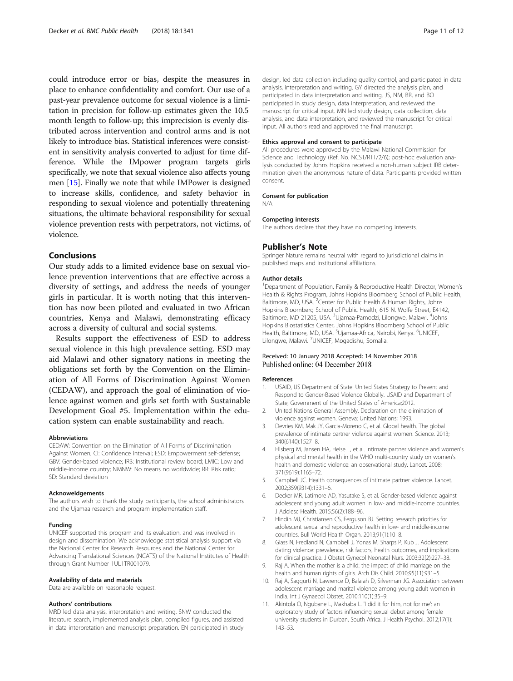<span id="page-10-0"></span>could introduce error or bias, despite the measures in place to enhance confidentiality and comfort. Our use of a past-year prevalence outcome for sexual violence is a limitation in precision for follow-up estimates given the 10.5 month length to follow-up; this imprecision is evenly distributed across intervention and control arms and is not likely to introduce bias. Statistical inferences were consistent in sensitivity analysis converted to adjust for time difference. While the IMpower program targets girls specifically, we note that sexual violence also affects young men [[15](#page-11-0)]. Finally we note that while IMPower is designed to increase skills, confidence, and safety behavior in responding to sexual violence and potentially threatening situations, the ultimate behavioral responsibility for sexual violence prevention rests with perpetrators, not victims, of violence.

#### Conclusions

Our study adds to a limited evidence base on sexual violence prevention interventions that are effective across a diversity of settings, and address the needs of younger girls in particular. It is worth noting that this intervention has now been piloted and evaluated in two African countries, Kenya and Malawi, demonstrating efficacy across a diversity of cultural and social systems.

Results support the effectiveness of ESD to address sexual violence in this high prevalence setting. ESD may aid Malawi and other signatory nations in meeting the obligations set forth by the Convention on the Elimination of All Forms of Discrimination Against Women (CEDAW), and approach the goal of elimination of violence against women and girls set forth with Sustainable Development Goal #5. Implementation within the education system can enable sustainability and reach.

#### Abbreviations

CEDAW: Convention on the Elimination of All Forms of Discrimination Against Women; CI: Confidence interval; ESD: Empowerment self-defense; GBV: Gender-based violence; IRB: Institutional review board; LMIC: Low and middle-income country; NMNW: No means no worldwide; RR: Risk ratio; SD: Standard deviation

#### Acknoweldgements

The authors wish to thank the study participants, the school administrators and the Ujamaa research and program implementation staff.

#### Funding

UNICEF supported this program and its evaluation, and was involved in design and dissemination. We acknowledge statistical analysis support via the National Center for Research Resources and the National Center for Advancing Translational Sciences (NCATS) of the National Institutes of Health through Grant Number 1UL1TR001079.

#### Availability of data and materials

Data are available on reasonable request.

#### Authors' contributions

MRD led data analysis, interpretation and writing. SNW conducted the literature search, implemented analysis plan, compiled figures, and assisted in data interpretation and manuscript preparation. EN participated in study design, led data collection including quality control, and participated in data analysis, interpretation and writing. GY directed the analysis plan, and participated in data interpretation and writing. JS, NM, BR, and BO participated in study design, data interpretation, and reviewed the manuscript for critical input. MN led study design, data collection, data analysis, and data interpretation, and reviewed the manuscript for critical input. All authors read and approved the final manuscript.

#### Ethics approval and consent to participate

All procedures were approved by the Malawi National Commission for Science and Technology (Ref. No. NCST/RTT/2/6); post-hoc evaluation analysis conducted by Johns Hopkins received a non-human subject IRB determination given the anonymous nature of data. Participants provided written consent.

#### Consent for publication

N/A

#### Competing interests

The authors declare that they have no competing interests.

#### Publisher's Note

Springer Nature remains neutral with regard to jurisdictional claims in published maps and institutional affiliations.

#### Author details

<sup>1</sup>Department of Population, Family & Reproductive Health Director, Women's Health & Rights Program, Johns Hopkins Bloomberg School of Public Health, Baltimore, MD, USA. <sup>2</sup>Center for Public Health & Human Rights, Johns Hopkins Bloomberg School of Public Health, 615 N. Wolfe Street, E4142, Baltimore, MD 21205, USA. <sup>3</sup>Ujamaa-Pamodzi, Lilongwe, Malawi. <sup>4</sup>Johns Hopkins Biostatistics Center, Johns Hopkins Bloomberg School of Public Health, Baltimore, MD, USA. <sup>5</sup>Ujamaa-Africa, Nairobi, Kenya. <sup>6</sup>UNICEF, Lilongwe, Malawi. <sup>7</sup>UNICEF, Mogadishu, Somalia.

#### Received: 10 January 2018 Accepted: 14 November 2018 Published online: 04 December 2018

#### References

- 1. USAID, US Department of State. United States Strategy to Prevent and Respond to Gender-Based Violence Globally. USAID and Department of State, Government of the United States of America;2012.
- 2. United Nations General Assembly. Declaration on the elimination of violence against women. Geneva: United Nations; 1993.
- 3. Devries KM, Mak JY, Garcia-Moreno C, et al. Global health. The global prevalence of intimate partner violence against women. Science. 2013; 340(6140):1527–8.
- 4. Ellsberg M, Jansen HA, Heise L, et al. Intimate partner violence and women's physical and mental health in the WHO multi-country study on women's health and domestic violence: an observational study. Lancet. 2008; 371(9619):1165–72.
- 5. Campbell JC. Health consequences of intimate partner violence. Lancet. 2002;359(9314):1331–6.
- 6. Decker MR, Latimore AD, Yasutake S, et al. Gender-based violence against adolescent and young adult women in low- and middle-income countries. J Adolesc Health. 2015;56(2):188–96.
- 7. Hindin MJ, Christiansen CS, Ferguson BJ. Setting research priorities for adolescent sexual and reproductive health in low- and middle-income countries. Bull World Health Organ. 2013;91(1):10–8.
- 8. Glass N, Fredland N, Campbell J, Yonas M, Sharps P, Kub J. Adolescent dating violence: prevalence, risk factors, health outcomes, and implications for clinical practice. J Obstet Gynecol Neonatal Nurs. 2003;32(2):227–38.
- 9. Raj A. When the mother is a child: the impact of child marriage on the health and human rights of girls. Arch Dis Child. 2010;95(11):931–5.
- 10. Raj A, Saggurti N, Lawrence D, Balaiah D, Silverman JG. Association between adolescent marriage and marital violence among young adult women in India. Int J Gynaecol Obstet. 2010;110(1):35–9.
- 11. Akintola O, Ngubane L, Makhaba L. 'I did it for him, not for me': an exploratory study of factors influencing sexual debut among female university students in Durban, South Africa. J Health Psychol. 2012;17(1): 143–53.